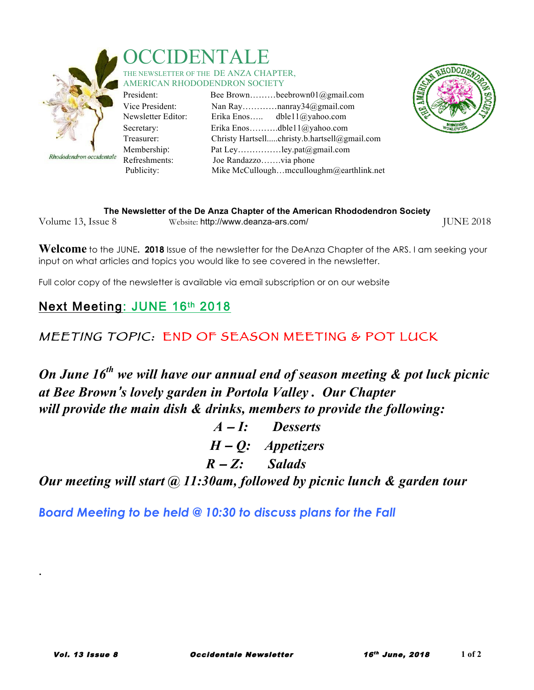

Rhododendron occidentale

#### **DEN** THE NEWSLETTER OF THE DE ANZA CHAPTER. AMERICAN RHODODENDRON SOCIETY

President<sup>.</sup> Vice Preside Newsletter Secretary: Treasurer: Membershi Refreshmen Publicity:

|         |                       | Bee Brownbeebrown $01$ ( $a$ gmail.com       |
|---------|-----------------------|----------------------------------------------|
| ent:    |                       |                                              |
| Editor: |                       | Erika Enos dble11@yahoo.com                  |
|         |                       | Erika Enosdble11@yahoo.com                   |
|         |                       | Christy Hartsellchristy.b.hartsell@gmail.com |
| p:      |                       | Pat Leyley.pat@gmail.com                     |
| its:    | Joe Randazzovia phone |                                              |
|         |                       | Mike McCulloughmcculloughm@earthlink.net     |
|         |                       |                                              |



| The Newsletter of the De Anza Chapter of the American Rhododendron Society |                                     |                  |  |
|----------------------------------------------------------------------------|-------------------------------------|------------------|--|
| Volume 13, Issue 8                                                         | Website: http://www.deanza-ars.com/ | <b>JUNE 2018</b> |  |

**Welcome** to the JUNE**. 2018** Issue of the newsletter for the DeAnza Chapter of the ARS. I am seeking your input on what articles and topics you would like to see covered in the newsletter.

Full color copy of the newsletter is available via email subscription or on our website

### Next Meeting: JUNE 16th 2018

### MEETING TOPIC: END OF SEASON MEETING & POT LUCK

*On June 16th we will have our annual end of season meeting & pot luck picnic at Bee Brown*'*s lovely garden in Portola Valley . Our Chapter will provide the main dish & drinks, members to provide the following:*

> *A* – *I: Desserts H* – *Q: Appetizers R* – *Z: Salads*

*Our meeting will start @ 11:30am, followed by picnic lunch & garden tour* 

*Board Meeting to be held @ 10:30 to discuss plans for the Fall*

.